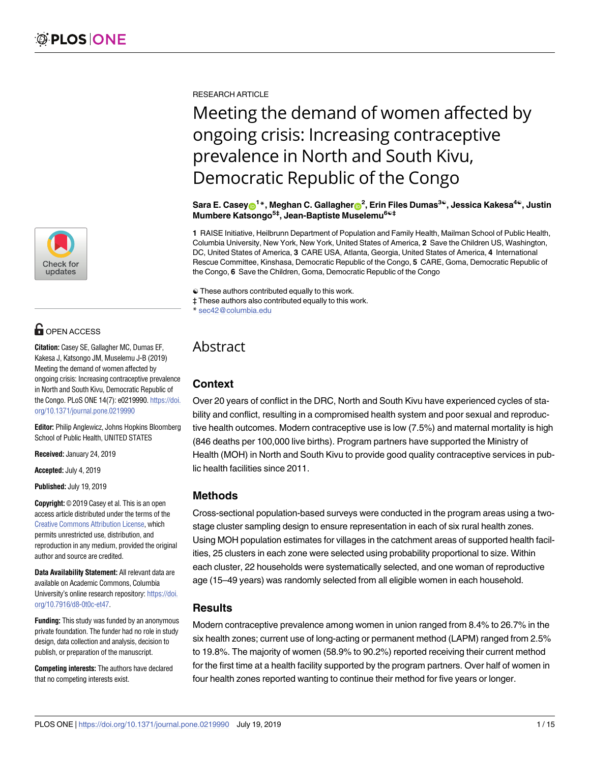

# **O** OPEN ACCESS

**Citation:** Casey SE, Gallagher MC, Dumas EF, Kakesa J, Katsongo JM, Muselemu J-B (2019) Meeting the demand of women affected by ongoing crisis: Increasing contraceptive prevalence in North and South Kivu, Democratic Republic of the Congo. PLoS ONE 14(7): e0219990. [https://doi.](https://doi.org/10.1371/journal.pone.0219990) [org/10.1371/journal.pone.0219990](https://doi.org/10.1371/journal.pone.0219990)

**Editor:** Philip Anglewicz, Johns Hopkins Bloomberg School of Public Health, UNITED STATES

**Received:** January 24, 2019

**Accepted:** July 4, 2019

**Published:** July 19, 2019

**Copyright:** © 2019 Casey et al. This is an open access article distributed under the terms of the Creative Commons [Attribution](http://creativecommons.org/licenses/by/4.0/) License, which permits unrestricted use, distribution, and reproduction in any medium, provided the original author and source are credited.

**Data Availability Statement:** All relevant data are available on Academic Commons, Columbia University's online research repository: [https://doi.](https://doi.org/10.7916/d8-0t0c-et47) [org/10.7916/d8-0t0c-et47](https://doi.org/10.7916/d8-0t0c-et47).

**Funding:** This study was funded by an anonymous private foundation. The funder had no role in study design, data collection and analysis, decision to publish, or preparation of the manuscript.

**Competing interests:** The authors have declared that no competing interests exist.

RESEARCH ARTICLE

# Meeting the demand of women affected by ongoing crisis: Increasing contraceptive prevalence in North and South Kivu, Democratic Republic of the Congo

Sara E. Casey⋒<sup>1</sup>\*, Meghan C. Gallagher⋒<sup>2</sup>, Erin Files Dumas<sup>3ଢ</sup>, Jessica Kakesa<sup>4ଢ</sup>, Justin **Mumbere Katsongo5‡, Jean-Baptiste Muselemu6**☯**‡**

**1** RAISE Initiative, Heilbrunn Department of Population and Family Health, Mailman School of Public Health, Columbia University, New York, New York, United States of America, **2** Save the Children US, Washington, DC, United States of America, **3** CARE USA, Atlanta, Georgia, United States of America, **4** International Rescue Committee, Kinshasa, Democratic Republic of the Congo, **5** CARE, Goma, Democratic Republic of the Congo, **6** Save the Children, Goma, Democratic Republic of the Congo

☯ These authors contributed equally to this work.

‡ These authors also contributed equally to this work.

\* sec42@columbia.edu

# Abstract

# **Context**

Over 20 years of conflict in the DRC, North and South Kivu have experienced cycles of stability and conflict, resulting in a compromised health system and poor sexual and reproductive health outcomes. Modern contraceptive use is low (7.5%) and maternal mortality is high (846 deaths per 100,000 live births). Program partners have supported the Ministry of Health (MOH) in North and South Kivu to provide good quality contraceptive services in public health facilities since 2011.

# **Methods**

Cross-sectional population-based surveys were conducted in the program areas using a twostage cluster sampling design to ensure representation in each of six rural health zones. Using MOH population estimates for villages in the catchment areas of supported health facilities, 25 clusters in each zone were selected using probability proportional to size. Within each cluster, 22 households were systematically selected, and one woman of reproductive age (15–49 years) was randomly selected from all eligible women in each household.

# **Results**

Modern contraceptive prevalence among women in union ranged from 8.4% to 26.7% in the six health zones; current use of long-acting or permanent method (LAPM) ranged from 2.5% to 19.8%. The majority of women (58.9% to 90.2%) reported receiving their current method for the first time at a health facility supported by the program partners. Over half of women in four health zones reported wanting to continue their method for five years or longer.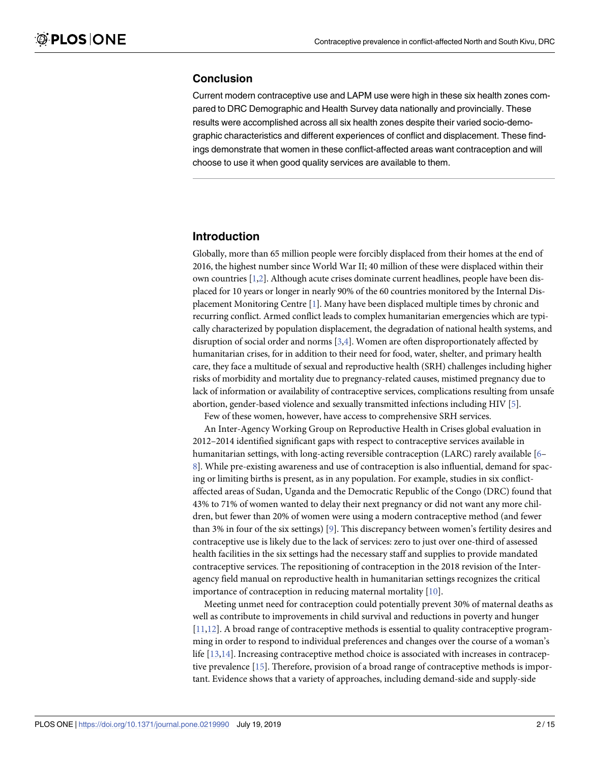# <span id="page-1-0"></span>**Conclusion**

Current modern contraceptive use and LAPM use were high in these six health zones compared to DRC Demographic and Health Survey data nationally and provincially. These results were accomplished across all six health zones despite their varied socio-demographic characteristics and different experiences of conflict and displacement. These findings demonstrate that women in these conflict-affected areas want contraception and will choose to use it when good quality services are available to them.

# **Introduction**

Globally, more than 65 million people were forcibly displaced from their homes at the end of 2016, the highest number since World War II; 40 million of these were displaced within their own countries [[1](#page-12-0),[2](#page-12-0)]. Although acute crises dominate current headlines, people have been displaced for 10 years or longer in nearly 90% of the 60 countries monitored by the Internal Displacement Monitoring Centre [[1](#page-12-0)]. Many have been displaced multiple times by chronic and recurring conflict. Armed conflict leads to complex humanitarian emergencies which are typically characterized by population displacement, the degradation of national health systems, and disruption of social order and norms [\[3,4\]](#page-12-0). Women are often disproportionately affected by humanitarian crises, for in addition to their need for food, water, shelter, and primary health care, they face a multitude of sexual and reproductive health (SRH) challenges including higher risks of morbidity and mortality due to pregnancy-related causes, mistimed pregnancy due to lack of information or availability of contraceptive services, complications resulting from unsafe abortion, gender-based violence and sexually transmitted infections including HIV [[5](#page-12-0)].

Few of these women, however, have access to comprehensive SRH services.

An Inter-Agency Working Group on Reproductive Health in Crises global evaluation in 2012–2014 identified significant gaps with respect to contraceptive services available in humanitarian settings, with long-acting reversible contraception (LARC) rarely available [\[6](#page-12-0)– [8\]](#page-12-0). While pre-existing awareness and use of contraception is also influential, demand for spacing or limiting births is present, as in any population. For example, studies in six conflictaffected areas of Sudan, Uganda and the Democratic Republic of the Congo (DRC) found that 43% to 71% of women wanted to delay their next pregnancy or did not want any more children, but fewer than 20% of women were using a modern contraceptive method (and fewer than 3% in four of the six settings) [[9](#page-12-0)]. This discrepancy between women's fertility desires and contraceptive use is likely due to the lack of services: zero to just over one-third of assessed health facilities in the six settings had the necessary staff and supplies to provide mandated contraceptive services. The repositioning of contraception in the 2018 revision of the Interagency field manual on reproductive health in humanitarian settings recognizes the critical importance of contraception in reducing maternal mortality [\[10](#page-12-0)].

Meeting unmet need for contraception could potentially prevent 30% of maternal deaths as well as contribute to improvements in child survival and reductions in poverty and hunger [\[11,12\]](#page-12-0). A broad range of contraceptive methods is essential to quality contraceptive programming in order to respond to individual preferences and changes over the course of a woman's life [[13](#page-12-0),[14](#page-13-0)]. Increasing contraceptive method choice is associated with increases in contraceptive prevalence [[15](#page-13-0)]. Therefore, provision of a broad range of contraceptive methods is important. Evidence shows that a variety of approaches, including demand-side and supply-side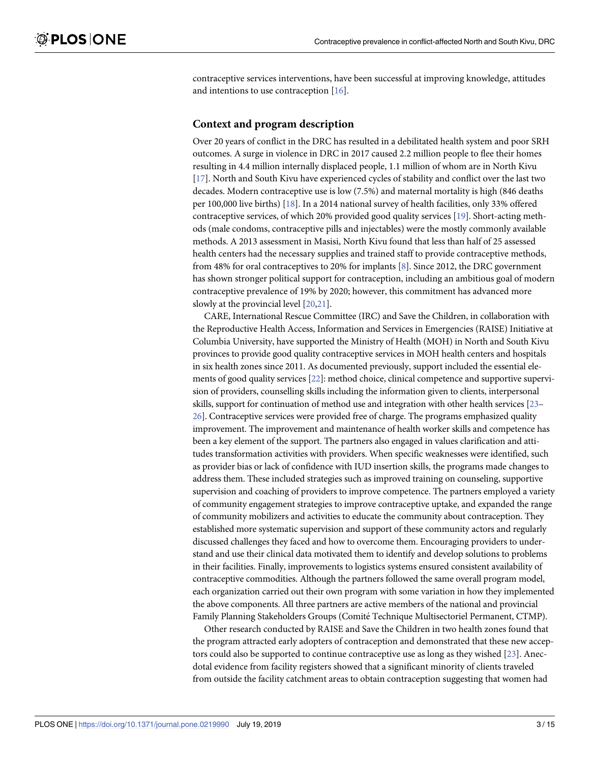<span id="page-2-0"></span>contraceptive services interventions, have been successful at improving knowledge, attitudes and intentions to use contraception [\[16\]](#page-13-0).

## **Context and program description**

Over 20 years of conflict in the DRC has resulted in a debilitated health system and poor SRH outcomes. A surge in violence in DRC in 2017 caused 2.2 million people to flee their homes resulting in 4.4 million internally displaced people, 1.1 million of whom are in North Kivu [\[17\]](#page-13-0). North and South Kivu have experienced cycles of stability and conflict over the last two decades. Modern contraceptive use is low (7.5%) and maternal mortality is high (846 deaths per 100,000 live births) [[18](#page-13-0)]. In a 2014 national survey of health facilities, only 33% offered contraceptive services, of which 20% provided good quality services [[19](#page-13-0)]. Short-acting methods (male condoms, contraceptive pills and injectables) were the mostly commonly available methods. A 2013 assessment in Masisi, North Kivu found that less than half of 25 assessed health centers had the necessary supplies and trained staff to provide contraceptive methods, from 48% for oral contraceptives to 20% for implants [[8](#page-12-0)]. Since 2012, the DRC government has shown stronger political support for contraception, including an ambitious goal of modern contraceptive prevalence of 19% by 2020; however, this commitment has advanced more slowly at the provincial level [[20,21\]](#page-13-0).

CARE, International Rescue Committee (IRC) and Save the Children, in collaboration with the Reproductive Health Access, Information and Services in Emergencies (RAISE) Initiative at Columbia University, have supported the Ministry of Health (MOH) in North and South Kivu provinces to provide good quality contraceptive services in MOH health centers and hospitals in six health zones since 2011. As documented previously, support included the essential elements of good quality services [\[22\]](#page-13-0): method choice, clinical competence and supportive supervision of providers, counselling skills including the information given to clients, interpersonal skills, support for continuation of method use and integration with other health services [[23](#page-13-0)– [26](#page-13-0)]. Contraceptive services were provided free of charge. The programs emphasized quality improvement. The improvement and maintenance of health worker skills and competence has been a key element of the support. The partners also engaged in values clarification and attitudes transformation activities with providers. When specific weaknesses were identified, such as provider bias or lack of confidence with IUD insertion skills, the programs made changes to address them. These included strategies such as improved training on counseling, supportive supervision and coaching of providers to improve competence. The partners employed a variety of community engagement strategies to improve contraceptive uptake, and expanded the range of community mobilizers and activities to educate the community about contraception. They established more systematic supervision and support of these community actors and regularly discussed challenges they faced and how to overcome them. Encouraging providers to understand and use their clinical data motivated them to identify and develop solutions to problems in their facilities. Finally, improvements to logistics systems ensured consistent availability of contraceptive commodities. Although the partners followed the same overall program model, each organization carried out their own program with some variation in how they implemented the above components. All three partners are active members of the national and provincial Family Planning Stakeholders Groups (Comite´ Technique Multisectoriel Permanent, CTMP).

Other research conducted by RAISE and Save the Children in two health zones found that the program attracted early adopters of contraception and demonstrated that these new acceptors could also be supported to continue contraceptive use as long as they wished [\[23\]](#page-13-0). Anecdotal evidence from facility registers showed that a significant minority of clients traveled from outside the facility catchment areas to obtain contraception suggesting that women had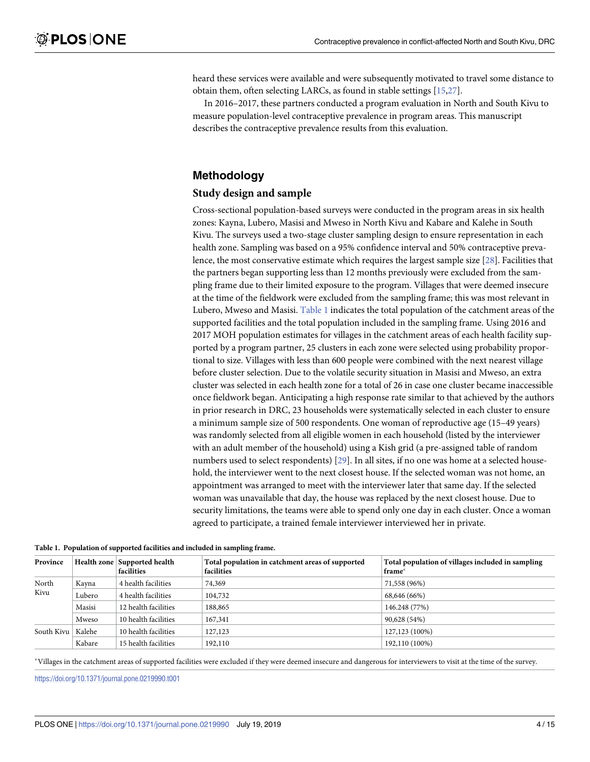<span id="page-3-0"></span>heard these services were available and were subsequently motivated to travel some distance to obtain them, often selecting LARCs, as found in stable settings [\[15,27](#page-13-0)].

In 2016–2017, these partners conducted a program evaluation in North and South Kivu to measure population-level contraceptive prevalence in program areas. This manuscript describes the contraceptive prevalence results from this evaluation.

# **Methodology**

## **Study design and sample**

Cross-sectional population-based surveys were conducted in the program areas in six health zones: Kayna, Lubero, Masisi and Mweso in North Kivu and Kabare and Kalehe in South Kivu. The surveys used a two-stage cluster sampling design to ensure representation in each health zone. Sampling was based on a 95% confidence interval and 50% contraceptive prevalence, the most conservative estimate which requires the largest sample size [[28](#page-13-0)]. Facilities that the partners began supporting less than 12 months previously were excluded from the sampling frame due to their limited exposure to the program. Villages that were deemed insecure at the time of the fieldwork were excluded from the sampling frame; this was most relevant in Lubero, Mweso and Masisi. Table 1 indicates the total population of the catchment areas of the supported facilities and the total population included in the sampling frame. Using 2016 and 2017 MOH population estimates for villages in the catchment areas of each health facility supported by a program partner, 25 clusters in each zone were selected using probability proportional to size. Villages with less than 600 people were combined with the next nearest village before cluster selection. Due to the volatile security situation in Masisi and Mweso, an extra cluster was selected in each health zone for a total of 26 in case one cluster became inaccessible once fieldwork began. Anticipating a high response rate similar to that achieved by the authors in prior research in DRC, 23 households were systematically selected in each cluster to ensure a minimum sample size of 500 respondents. One woman of reproductive age (15–49 years) was randomly selected from all eligible women in each household (listed by the interviewer with an adult member of the household) using a Kish grid (a pre-assigned table of random numbers used to select respondents) [\[29\]](#page-13-0). In all sites, if no one was home at a selected household, the interviewer went to the next closest house. If the selected woman was not home, an appointment was arranged to meet with the interviewer later that same day. If the selected woman was unavailable that day, the house was replaced by the next closest house. Due to security limitations, the teams were able to spend only one day in each cluster. Once a woman agreed to participate, a trained female interviewer interviewed her in private.

| Province   |        | Health zone Supported health<br>facilities | Total population in catchment areas of supported<br>facilities | Total population of villages included in sampling<br>frame <sup>*</sup> |
|------------|--------|--------------------------------------------|----------------------------------------------------------------|-------------------------------------------------------------------------|
| North      | Kavna  | 4 health facilities                        | 74,369                                                         | 71,558 (96%)                                                            |
| Kivu       | Lubero | 4 health facilities                        | 104,732                                                        | 68,646 (66%)                                                            |
|            | Masisi | 12 health facilities                       | 188,865                                                        | 146.248 (77%)                                                           |
|            | Mweso  | 10 health facilities                       | 167,341                                                        | 90,628 (54%)                                                            |
| South Kivu | Kalehe | 10 health facilities                       | 127,123                                                        | 127,123 (100%)                                                          |
|            | Kabare | 15 health facilities                       | 192,110                                                        | 192,110 (100%)                                                          |

**Table 1. Population of supported facilities and included in sampling frame.**

�Villages in the catchment areas of supported facilities were excluded if they were deemed insecure and dangerous for interviewers to visit at the time of the survey.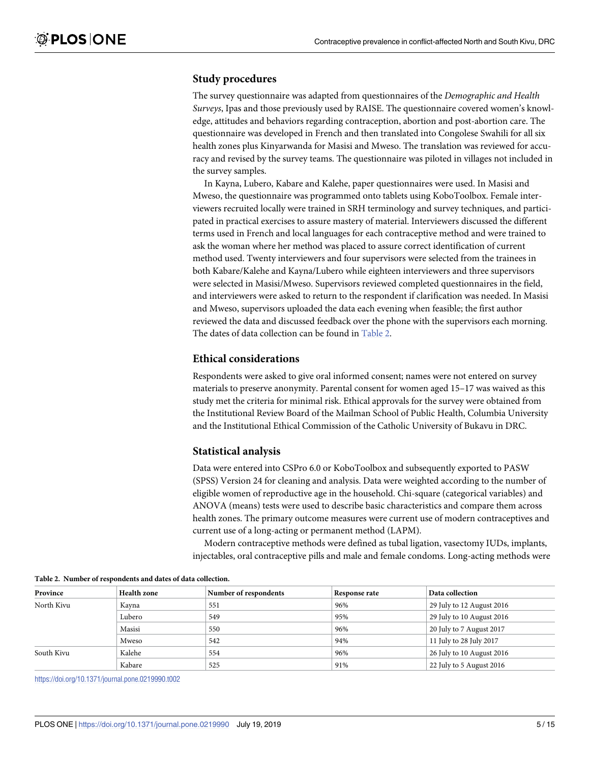#### <span id="page-4-0"></span>**Study procedures**

The survey questionnaire was adapted from questionnaires of the *Demographic and Health Surveys*, Ipas and those previously used by RAISE. The questionnaire covered women's knowledge, attitudes and behaviors regarding contraception, abortion and post-abortion care. The questionnaire was developed in French and then translated into Congolese Swahili for all six health zones plus Kinyarwanda for Masisi and Mweso. The translation was reviewed for accuracy and revised by the survey teams. The questionnaire was piloted in villages not included in the survey samples.

In Kayna, Lubero, Kabare and Kalehe, paper questionnaires were used. In Masisi and Mweso, the questionnaire was programmed onto tablets using KoboToolbox. Female interviewers recruited locally were trained in SRH terminology and survey techniques, and participated in practical exercises to assure mastery of material. Interviewers discussed the different terms used in French and local languages for each contraceptive method and were trained to ask the woman where her method was placed to assure correct identification of current method used. Twenty interviewers and four supervisors were selected from the trainees in both Kabare/Kalehe and Kayna/Lubero while eighteen interviewers and three supervisors were selected in Masisi/Mweso. Supervisors reviewed completed questionnaires in the field, and interviewers were asked to return to the respondent if clarification was needed. In Masisi and Mweso, supervisors uploaded the data each evening when feasible; the first author reviewed the data and discussed feedback over the phone with the supervisors each morning. The dates of data collection can be found in Table 2.

# **Ethical considerations**

Respondents were asked to give oral informed consent; names were not entered on survey materials to preserve anonymity. Parental consent for women aged 15–17 was waived as this study met the criteria for minimal risk. Ethical approvals for the survey were obtained from the Institutional Review Board of the Mailman School of Public Health, Columbia University and the Institutional Ethical Commission of the Catholic University of Bukavu in DRC.

#### **Statistical analysis**

Data were entered into CSPro 6.0 or KoboToolbox and subsequently exported to PASW (SPSS) Version 24 for cleaning and analysis. Data were weighted according to the number of eligible women of reproductive age in the household. Chi-square (categorical variables) and ANOVA (means) tests were used to describe basic characteristics and compare them across health zones. The primary outcome measures were current use of modern contraceptives and current use of a long-acting or permanent method (LAPM).

Modern contraceptive methods were defined as tubal ligation, vasectomy IUDs, implants, injectables, oral contraceptive pills and male and female condoms. Long-acting methods were

| <b>Health zone</b><br>Province |        | Number of respondents | Response rate | Data collection           |
|--------------------------------|--------|-----------------------|---------------|---------------------------|
| North Kivu                     | Kayna  | 551                   | 96%           | 29 July to 12 August 2016 |
|                                | Lubero | 549                   | 95%           | 29 July to 10 August 2016 |
|                                | Masisi | 550                   | 96%           | 20 July to 7 August 2017  |
|                                | Mweso  | 542                   | 94%           | 11 July to 28 July 2017   |
| South Kivu                     | Kalehe | 554                   | 96%           | 26 July to 10 August 2016 |
|                                | Kabare | 525                   | 91%           | 22 July to 5 August 2016  |

**Table 2. Number of respondents and dates of data collection.**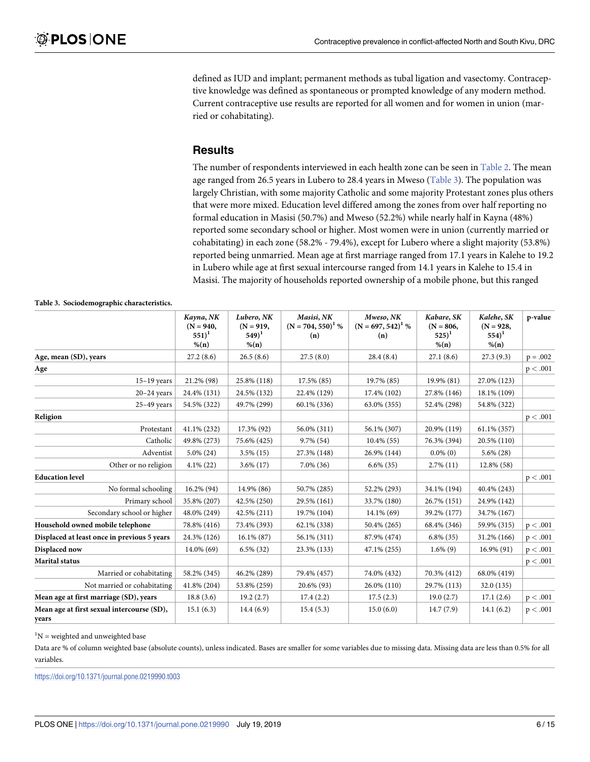defined as IUD and implant; permanent methods as tubal ligation and vasectomy. Contraceptive knowledge was defined as spontaneous or prompted knowledge of any modern method. Current contraceptive use results are reported for all women and for women in union (married or cohabitating).

# **Results**

The number of respondents interviewed in each health zone can be seen in [Table](#page-4-0) 2. The mean age ranged from 26.5 years in Lubero to 28.4 years in Mweso (Table 3). The population was largely Christian, with some majority Catholic and some majority Protestant zones plus others that were more mixed. Education level differed among the zones from over half reporting no formal education in Masisi (50.7%) and Mweso (52.2%) while nearly half in Kayna (48%) reported some secondary school or higher. Most women were in union (currently married or cohabitating) in each zone (58.2% - 79.4%), except for Lubero where a slight majority (53.8%) reported being unmarried. Mean age at first marriage ranged from 17.1 years in Kalehe to 19.2 in Lubero while age at first sexual intercourse ranged from 14.1 years in Kalehe to 15.4 in Masisi. The majority of households reported ownership of a mobile phone, but this ranged

|                                                     | Kayna, NK<br>$(N = 940,$<br>$(551)^1$<br>$%$ (n) | Lubero, NK<br>$(N = 919,$<br>$(549)^1$<br>$%$ (n) | Masisi, NK<br>$(N = 704, 550)^{1}$ %<br>(n) | Mweso, NK<br>$(N = 697, 542)^{1}$ %<br>(n) | Kabare, SK<br>$(N = 806,$<br>$525)^1$<br>$%$ (n) | Kalehe, SK<br>$(N = 928,$<br>$554)^1$<br>$%$ (n) | p-value    |
|-----------------------------------------------------|--------------------------------------------------|---------------------------------------------------|---------------------------------------------|--------------------------------------------|--------------------------------------------------|--------------------------------------------------|------------|
| Age, mean (SD), years                               | 27.2(8.6)                                        | 26.5(8.6)                                         | 27.5(8.0)                                   | 28.4(8.4)                                  | 27.1(8.6)                                        | 27.3(9.3)                                        | $p = .002$ |
| Age                                                 |                                                  |                                                   |                                             |                                            |                                                  |                                                  | p < .001   |
| $15-19$ years                                       | 21.2% (98)                                       | 25.8% (118)                                       | 17.5% (85)                                  | 19.7% (85)                                 | 19.9% (81)                                       | 27.0% (123)                                      |            |
| $20-24$ years                                       | 24.4% (131)                                      | 24.5% (132)                                       | 22.4% (129)                                 | 17.4% (102)                                | 27.8% (146)                                      | 18.1% (109)                                      |            |
| $25-49$ years                                       | 54.5% (322)                                      | 49.7% (299)                                       | 60.1% (336)                                 | 63.0% (355)                                | 52.4% (298)                                      | 54.8% (322)                                      |            |
| Religion                                            |                                                  |                                                   |                                             |                                            |                                                  |                                                  | p < .001   |
| Protestant                                          | 41.1% (232)                                      | 17.3% (92)                                        | 56.0% (311)                                 | 56.1% (307)                                | 20.9% (119)                                      | $61.1\%$ (357)                                   |            |
| Catholic                                            | 49.8% (273)                                      | 75.6% (425)                                       | $9.7\%$ (54)                                | 10.4% (55)                                 | 76.3% (394)                                      | 20.5% (110)                                      |            |
| Adventist                                           | $5.0\%$ (24)                                     | $3.5\%$ (15)                                      | 27.3% (148)                                 | 26.9% (144)                                | $0.0\%$ (0)                                      | 5.6% (28)                                        |            |
| Other or no religion                                | $4.1\%$ (22)                                     | $3.6\%$ (17)                                      | $7.0\%$ (36)                                | $6.6\%$ (35)                               | $2.7\%$ (11)                                     | 12.8% (58)                                       |            |
| <b>Education level</b>                              |                                                  |                                                   |                                             |                                            |                                                  |                                                  | p < .001   |
| No formal schooling                                 | 16.2% (94)                                       | 14.9% (86)                                        | 50.7% (285)                                 | 52.2% (293)                                | 34.1% (194)                                      | 40.4% (243)                                      |            |
| Primary school                                      | 35.8% (207)                                      | 42.5% (250)                                       | 29.5% (161)                                 | 33.7% (180)                                | 26.7% (151)                                      | 24.9% (142)                                      |            |
| Secondary school or higher                          | 48.0% (249)                                      | 42.5% (211)                                       | 19.7% (104)                                 | 14.1% (69)                                 | 39.2% (177)                                      | 34.7% (167)                                      |            |
| Household owned mobile telephone                    | 78.8% (416)                                      | 73.4% (393)                                       | 62.1% (338)                                 | 50.4% (265)                                | 68.4% (346)                                      | 59.9% (315)                                      | p < .001   |
| Displaced at least once in previous 5 years         | 24.3% (126)                                      | $16.1\% (87)$                                     | 56.1% (311)                                 | 87.9% (474)                                | $6.8\%$ (35)                                     | 31.2% (166)                                      | p < .001   |
| Displaced now                                       | 14.0% (69)                                       | $6.5\%$ (32)                                      | 23.3% (133)                                 | 47.1% (255)                                | $1.6\%$ (9)                                      | $16.9\%$ (91)                                    | p < .001   |
| Marital status                                      |                                                  |                                                   |                                             |                                            |                                                  |                                                  | p < .001   |
| Married or cohabitating                             | 58.2% (345)                                      | 46.2% (289)                                       | 79.4% (457)                                 | 74.0% (432)                                | 70.3% (412)                                      | 68.0% (419)                                      |            |
| Not married or cohabitating                         | 41.8% (204)                                      | 53.8% (259)                                       | 20.6% (93)                                  | 26.0% (110)                                | 29.7% (113)                                      | 32.0(135)                                        |            |
| Mean age at first marriage (SD), years              | 18.8(3.6)                                        | 19.2(2.7)                                         | 17.4(2.2)                                   | 17.5(2.3)                                  | 19.0(2.7)                                        | 17.1(2.6)                                        | p < .001   |
| Mean age at first sexual intercourse (SD),<br>years | 15.1(6.3)                                        | 14.4(6.9)                                         | 15.4(5.3)                                   | 15.0(6.0)                                  | 14.7(7.9)                                        | 14.1(6.2)                                        | p < .001   |

**Table 3. Sociodemographic characteristics.**

 ${}^{1}N$  = weighted and unweighted base

Data are % of column weighted base (absolute counts), unless indicated. Bases are smaller for some variables due to missing data. Missing data are less than 0.5% for all variables.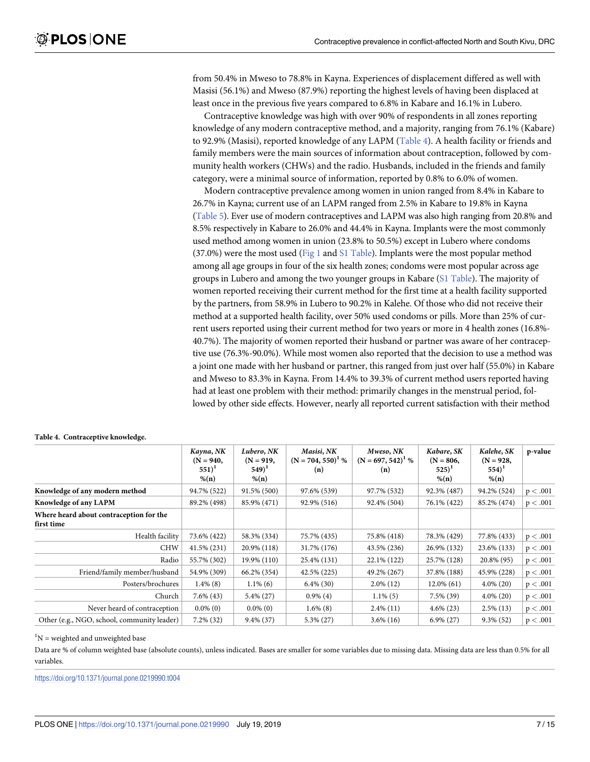<span id="page-6-0"></span>from 50.4% in Mweso to 78.8% in Kayna. Experiences of displacement differed as well with Masisi (56.1%) and Mweso (87.9%) reporting the highest levels of having been displaced at least once in the previous five years compared to 6.8% in Kabare and 16.1% in Lubero.

Contraceptive knowledge was high with over 90% of respondents in all zones reporting knowledge of any modern contraceptive method, and a majority, ranging from 76.1% (Kabare) to 92.9% (Masisi), reported knowledge of any LAPM (Table 4). A health facility or friends and family members were the main sources of information about contraception, followed by community health workers (CHWs) and the radio. Husbands, included in the friends and family category, were a minimal source of information, reported by 0.8% to 6.0% of women.

Modern contraceptive prevalence among women in union ranged from 8.4% in Kabare to 26.7% in Kayna; current use of an LAPM ranged from 2.5% in Kabare to 19.8% in Kayna [\(Table](#page-7-0) 5). Ever use of modern contraceptives and LAPM was also high ranging from 20.8% and 8.5% respectively in Kabare to 26.0% and 44.4% in Kayna. Implants were the most commonly used method among women in union (23.8% to 50.5%) except in Lubero where condoms  $(37.0%)$  were the most used ([Fig](#page-8-0) 1 and S1 [Table\)](#page-11-0). Implants were the most popular method among all age groups in four of the six health zones; condoms were most popular across age groups in Lubero and among the two younger groups in Kabare (S1 [Table\)](#page-11-0). The majority of women reported receiving their current method for the first time at a health facility supported by the partners, from 58.9% in Lubero to 90.2% in Kalehe. Of those who did not receive their method at a supported health facility, over 50% used condoms or pills. More than 25% of current users reported using their current method for two years or more in 4 health zones (16.8%- 40.7%). The majority of women reported their husband or partner was aware of her contraceptive use (76.3%-90.0%). While most women also reported that the decision to use a method was a joint one made with her husband or partner, this ranged from just over half (55.0%) in Kabare and Mweso to 83.3% in Kayna. From 14.4% to 39.3% of current method users reported having had at least one problem with their method: primarily changes in the menstrual period, followed by other side effects. However, nearly all reported current satisfaction with their method

|                                                       | Kayna, NK<br>$(N = 940,$<br>551)'<br>$%$ (n) | Lubero, NK<br>$(N = 919,$<br>549)'<br>$%$ (n) | Masisi, NK<br>$(N = 704, 550)^{1}$ %<br>(n) | Mweso, NK<br>$(N = 697, 542)^{1}$ %<br>(n) | Kabare, SK<br>$(N = 806,$<br>$525)^{1}$<br>$\%$ (n) | Kalehe, SK<br>$(N = 928,$<br>$554$ <sup>1</sup><br>$\%$ (n) | p-value  |
|-------------------------------------------------------|----------------------------------------------|-----------------------------------------------|---------------------------------------------|--------------------------------------------|-----------------------------------------------------|-------------------------------------------------------------|----------|
| Knowledge of any modern method                        | 94.7% (522)                                  | 91.5% (500)                                   | 97.6% (539)                                 | 97.7% (532)                                | 92.3% (487)                                         | 94.2% (524)                                                 | p < .001 |
| Knowledge of any LAPM                                 | 89.2% (498)                                  | 85.9% (471)                                   | 92.9% (516)                                 | 92.4% (504)                                | 76.1% (422)                                         | 85.2% (474)                                                 | p < .001 |
| Where heard about contraception for the<br>first time |                                              |                                               |                                             |                                            |                                                     |                                                             |          |
| Health facility                                       | 73.6% (422)                                  | 58.3% (334)                                   | 75.7% (435)                                 | 75.8% (418)                                | 78.3% (429)                                         | 77.8% (433)                                                 | p < .001 |
| <b>CHW</b>                                            | 41.5% (231)                                  | 20.9% (118)                                   | 31.7% (176)                                 | 43.5% (236)                                | 26.9% (132)                                         | 23.6% (133)                                                 | p < .001 |
| Radio                                                 | 55.7% (302)                                  | 19.9% (110)                                   | 25.4% (131)                                 | 22.1% (122)                                | 25.7% (128)                                         | 20.8% (95)                                                  | p < .001 |
| Friend/family member/husband                          | 54.9% (309)                                  | 66.2% (354)                                   | 42.5% (225)                                 | 49.2% (267)                                | 37.8% (188)                                         | 45.9% (228)                                                 | p < .001 |
| Posters/brochures                                     | $1.4\%$ (8)                                  | $1.1\%$ (6)                                   | $6.4\%$ (30)                                | $2.0\%$ (12)                               | 12.0% (61)                                          | $4.0\%$ (20)                                                | p < .001 |
| Church                                                | $7.6\%$ (43)                                 | $5.4\%$ (27)                                  | $0.9\%$ (4)                                 | $1.1\%$ (5)                                | $7.5\%$ (39)                                        | $4.0\%$ (20)                                                | p < .001 |
| Never heard of contraception                          | $0.0\%$ (0)                                  | $0.0\%$ (0)                                   | $1.6\%$ (8)                                 | $2.4\%$ (11)                               | $4.6\%$ (23)                                        | $2.5\%$ (13)                                                | p < .001 |
| Other (e.g., NGO, school, community leader)           | $7.2\%$ (32)                                 | $9.4\%$ (37)                                  | $5.3\%$ (27)                                | $3.6\%$ (16)                               | $6.9\%$ (27)                                        | $9.3\%$ (52)                                                | p < .001 |

**Table 4. Contraceptive knowledge.**

 ${}^{1}N$  = weighted and unweighted base

Data are % of column weighted base (absolute counts), unless indicated. Bases are smaller for some variables due to missing data. Missing data are less than 0.5% for all variables.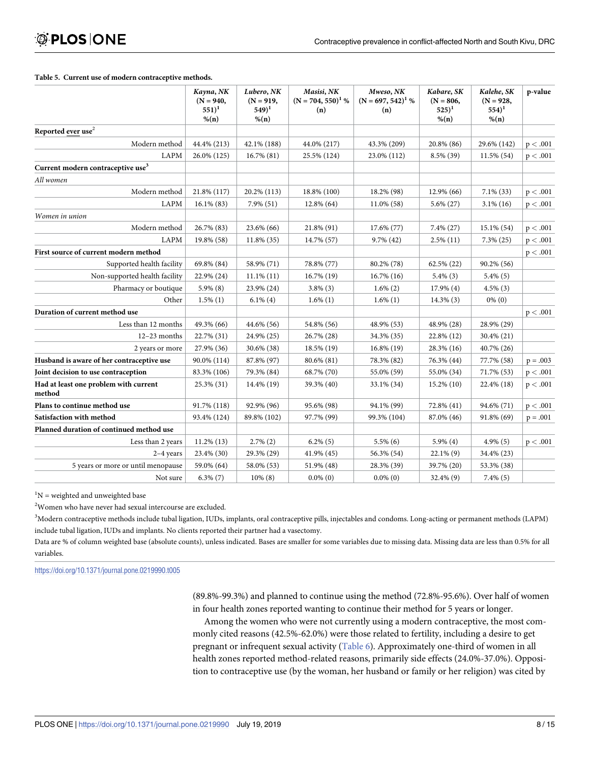#### <span id="page-7-0"></span>**[Table](#page-6-0) 5. Current use of modern contraceptive methods.**

|                                                 | Kayna, NK<br>$(N = 940,$<br>$(551)^1$<br>$\%$ (n) | Lubero, NK<br>$(N = 919,$<br>$(549)^1$<br>$%$ (n) | Masisi, NK<br>$(N = 704, 550)^{1}$ %<br>(n) | Mweso, NK<br>$(N = 697, 542)^{1}$ %<br>(n) | Kabare, SK<br>$(N = 806,$<br>$525)^1$<br>$%$ (n) | Kalehe, SK<br>$(N = 928,$<br>$554)^1$<br>$\%$ (n) | p-value    |
|-------------------------------------------------|---------------------------------------------------|---------------------------------------------------|---------------------------------------------|--------------------------------------------|--------------------------------------------------|---------------------------------------------------|------------|
| Reported ever use <sup>2</sup>                  |                                                   |                                                   |                                             |                                            |                                                  |                                                   |            |
| Modern method                                   | 44.4% (213)                                       | 42.1% (188)                                       | 44.0% (217)                                 | 43.3% (209)                                | 20.8% (86)                                       | 29.6% (142)                                       | p < .001   |
| <b>LAPM</b>                                     | 26.0% (125)                                       | $16.7\%$ (81)                                     | 25.5% (124)                                 | 23.0% (112)                                | 8.5% (39)                                        | 11.5% (54)                                        | p < .001   |
| Current modern contraceptive use <sup>3</sup>   |                                                   |                                                   |                                             |                                            |                                                  |                                                   |            |
| All women                                       |                                                   |                                                   |                                             |                                            |                                                  |                                                   |            |
| Modern method                                   | 21.8% (117)                                       | 20.2% (113)                                       | 18.8% (100)                                 | 18.2% (98)                                 | 12.9% (66)                                       | $7.1\%$ (33)                                      | p < .001   |
| <b>LAPM</b>                                     | $16.1\%$ (83)                                     | $7.9\%$ (51)                                      | 12.8% (64)                                  | $11.0\%$ (58)                              | $5.6\%$ (27)                                     | $3.1\%$ (16)                                      | p < .001   |
| Women in union                                  |                                                   |                                                   |                                             |                                            |                                                  |                                                   |            |
| Modern method                                   | 26.7% (83)                                        | 23.6% (66)                                        | 21.8% (91)                                  | 17.6% (77)                                 | $7.4\%$ (27)                                     | 15.1% (54)                                        | p < .001   |
| <b>LAPM</b>                                     | 19.8% (58)                                        | 11.8% (35)                                        | 14.7% (57)                                  | 9.7% (42)                                  | $2.5\%$ (11)                                     | $7.3\%$ (25)                                      | p < .001   |
| First source of current modern method           |                                                   |                                                   |                                             |                                            |                                                  |                                                   | p < .001   |
| Supported health facility                       | 69.8% (84)                                        | 58.9% (71)                                        | 78.8% (77)                                  | 80.2% (78)                                 | $62.5\%$ (22)                                    | 90.2% (56)                                        |            |
| Non-supported health facility                   | 22.9% (24)                                        | $11.1\%$ (11)                                     | 16.7% (19)                                  | $16.7\%$ (16)                              | $5.4\%$ (3)                                      | $5.4\%$ (5)                                       |            |
| Pharmacy or boutique                            | $5.9\%$ (8)                                       | 23.9% (24)                                        | $3.8\%$ $(3)$                               | $1.6\%$ (2)                                | 17.9% (4)                                        | $4.5\%$ (3)                                       |            |
| Other                                           | $1.5\%$ (1)                                       | $6.1\%$ (4)                                       | $1.6\%$ (1)                                 | $1.6\%$ (1)                                | $14.3\%$ (3)                                     | $0\%$ (0)                                         |            |
| Duration of current method use                  |                                                   |                                                   |                                             |                                            |                                                  |                                                   | p < .001   |
| Less than 12 months                             | 49.3% (66)                                        | 44.6% (56)                                        | 54.8% (56)                                  | 48.9% (53)                                 | 48.9% (28)                                       | 28.9% (29)                                        |            |
| $12-23$ months                                  | 22.7% (31)                                        | 24.9% (25)                                        | 26.7% (28)                                  | 34.3% (35)                                 | 22.8% (12)                                       | 30.4% (21)                                        |            |
| 2 years or more                                 | 27.9% (36)                                        | 30.6% (38)                                        | 18.5% (19)                                  | 16.8% (19)                                 | 28.3% (16)                                       | 40.7% (26)                                        |            |
| Husband is aware of her contraceptive use       | 90.0% (114)                                       | 87.8% (97)                                        | 80.6% (81)                                  | 78.3% (82)                                 | 76.3% (44)                                       | 77.7% (58)                                        | $p = .003$ |
| Joint decision to use contraception             | 83.3% (106)                                       | 79.3% (84)                                        | 68.7% (70)                                  | 55.0% (59)                                 | 55.0% (34)                                       | 71.7% (53)                                        | p < .001   |
| Had at least one problem with current<br>method | 25.3% (31)                                        | 14.4% (19)                                        | 39.3% (40)                                  | 33.1% (34)                                 | $15.2\%$ (10)                                    | 22.4% (18)                                        | p < .001   |
| Plans to continue method use                    | 91.7% (118)                                       | 92.9% (96)                                        | 95.6% (98)                                  | 94.1% (99)                                 | 72.8% (41)                                       | 94.6% (71)                                        | p < .001   |
| Satisfaction with method                        | 93.4% (124)                                       | 89.8% (102)                                       | 97.7% (99)                                  | 99.3% (104)                                | 87.0% (46)                                       | 91.8% (69)                                        | $p = .001$ |
| Planned duration of continued method use        |                                                   |                                                   |                                             |                                            |                                                  |                                                   |            |
| Less than 2 years                               | $11.2\%$ (13)                                     | $2.7\%$ $(2)$                                     | $6.2\%$ $(5)$                               | $5.5\%$ (6)                                | $5.9\%$ (4)                                      | $4.9\%$ (5)                                       | p < .001   |
| $2-4$ years                                     | 23.4% (30)                                        | 29.3% (29)                                        | 41.9% (45)                                  | 56.3% (54)                                 | $22.1\%$ (9)                                     | 34.4% (23)                                        |            |
| 5 years or more or until menopause              | 59.0% (64)                                        | 58.0% (53)                                        | 51.9% (48)                                  | 28.3% (39)                                 | 39.7% (20)                                       | 53.3% (38)                                        |            |
| Not sure                                        | $6.3\%$ $(7)$                                     | $10\%$ (8)                                        | $0.0\%$ (0)                                 | $0.0\%$ (0)                                | 32.4% (9)                                        | $7.4\%$ (5)                                       |            |

 ${}^{1}N$  = weighted and unweighted base

<sup>2</sup>Women who have never had sexual intercourse are excluded.

<sup>3</sup>Modern contraceptive methods include tubal ligation, IUDs, implants, oral contraceptive pills, injectables and condoms. Long-acting or permanent methods (LAPM) include tubal ligation, IUDs and implants. No clients reported their partner had a vasectomy.

Data are % of column weighted base (absolute counts), unless indicated. Bases are smaller for some variables due to missing data. Missing data are less than 0.5% for all variables.

<https://doi.org/10.1371/journal.pone.0219990.t005>

(89.8%-99.3%) and planned to continue using the method (72.8%-95.6%). Over half of women in four health zones reported wanting to continue their method for 5 years or longer.

Among the women who were not currently using a modern contraceptive, the most commonly cited reasons (42.5%-62.0%) were those related to fertility, including a desire to get pregnant or infrequent sexual activity ([Table](#page-8-0) 6). Approximately one-third of women in all health zones reported method-related reasons, primarily side effects (24.0%-37.0%). Opposition to contraceptive use (by the woman, her husband or family or her religion) was cited by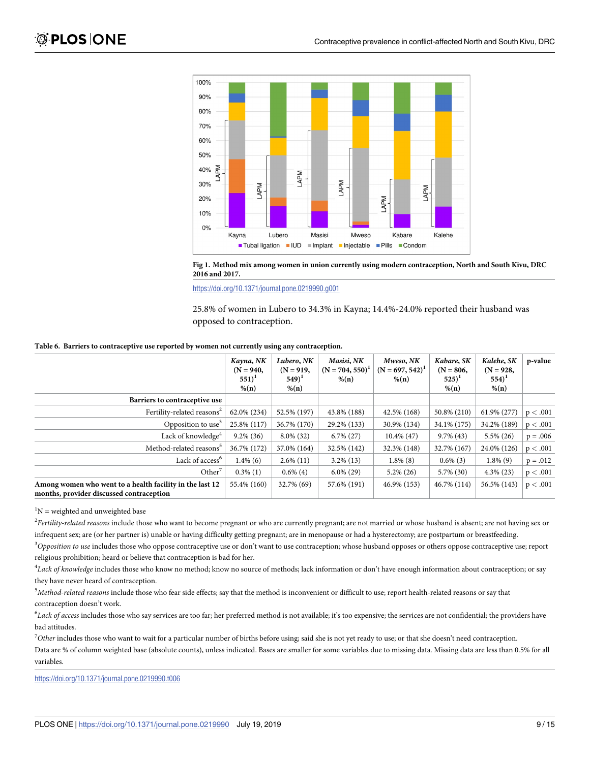<span id="page-8-0"></span>

**[Fig](#page-6-0) 1. Method mix among women in union currently using modern contraception, North and South Kivu, DRC 2016 and 2017.**

<https://doi.org/10.1371/journal.pone.0219990.g001>

25.8% of women in Lubero to 34.3% in Kayna; 14.4%-24.0% reported their husband was opposed to contraception.

#### **[Table](#page-7-0) 6. Barriers to contraceptive use reported by women not currently using any contraception.**

|                                                                                                      | Kayna, NK<br>$(N = 940,$<br>$551)^1$<br>$%$ (n) | Lubero, NK<br>$(N = 919,$<br>$(549)^1$<br>$%$ (n) | Masisi, NK<br>$(N = 704, 550)^T$<br>$\%(\mathbf{n})$ | Mweso, NK<br>$(N = 697, 542)^T$<br>$%$ (n) | Kabare, SK<br>$(N = 806,$<br>$525)^1$<br>$%$ (n) | Kalehe, SK<br>$(N = 928,$<br>$554)^1$<br>$%$ (n) | p-value    |
|------------------------------------------------------------------------------------------------------|-------------------------------------------------|---------------------------------------------------|------------------------------------------------------|--------------------------------------------|--------------------------------------------------|--------------------------------------------------|------------|
| Barriers to contraceptive use                                                                        |                                                 |                                                   |                                                      |                                            |                                                  |                                                  |            |
| Fertility-related reasons <sup>2</sup>                                                               | 62.0% (234)                                     | 52.5% (197)                                       | 43.8% (188)                                          | 42.5% (168)                                | 50.8% (210)                                      | 61.9% (277)                                      | p < .001   |
| Opposition to use <sup>3</sup>                                                                       | 25.8% (117)                                     | 36.7% (170)                                       | 29.2% (133)                                          | 30.9% (134)                                | 34.1% (175)                                      | 34.2% (189)                                      | p < .001   |
| Lack of knowledge <sup>4</sup>                                                                       | $9.2\%$ (36)                                    | $8.0\%$ (32)                                      | $6.7\%$ (27)                                         | $10.4\%$ (47)                              | $9.7\%$ (43)                                     | $5.5\%$ (26)                                     | $p = .006$ |
| Method-related reasons <sup>5</sup>                                                                  | 36.7% (172)                                     | 37.0% (164)                                       | 32.5% (142)                                          | 32.3% (148)                                | 32.7% (167)                                      | 24.0% (126)                                      | p < .001   |
| Lack of access <sup>6</sup>                                                                          | $1.4\%$ (6)                                     | $2.6\%$ (11)                                      | $3.2\%$ (13)                                         | $1.8\%$ (8)                                | $0.6\%$ (3)                                      | $1.8\%$ (9)                                      | $p = .012$ |
| Other <sup>7</sup>                                                                                   | $0.3\%$ (1)                                     | $0.6\%$ (4)                                       | $6.0\%$ (29)                                         | $5.2\%$ (26)                               | $5.7\%$ (30)                                     | $4.3\%$ (23)                                     | p < .001   |
| Among women who went to a health facility in the last 12<br>months, provider discussed contraception | 55.4% (160)                                     | 32.7% (69)                                        | 57.6% (191)                                          | 46.9% (153)                                | 46.7% (114)                                      | 56.5% (143)                                      | p < .001   |

 ${}^{1}N$  = weighted and unweighted base

2 *Fertility-related reasons* include those who want to become pregnant or who are currently pregnant; are not married or whose husband is absent; are not having sex or infrequent sex; are (or her partner is) unable or having difficulty getting pregnant; are in menopause or had a hysterectomy; are postpartum or breastfeeding.

3 *Opposition to use* includes those who oppose contraceptive use or don't want to use contraception; whose husband opposes or others oppose contraceptive use; report religious prohibition; heard or believe that contraception is bad for her.

4 *Lack of knowledge* includes those who know no method; know no source of methods; lack information or don't have enough information about contraception; or say they have never heard of contraception.

5 *Method-related reasons* include those who fear side effects; say that the method is inconvenient or difficult to use; report health-related reasons or say that contraception doesn't work.

6 *Lack of access* includes those who say services are too far; her preferred method is not available; it's too expensive; the services are not confidential; the providers have bad attitudes.

7 *Other* includes those who want to wait for a particular number of births before using; said she is not yet ready to use; or that she doesn't need contraception. Data are % of column weighted base (absolute counts), unless indicated. Bases are smaller for some variables due to missing data. Missing data are less than 0.5% for all

variables.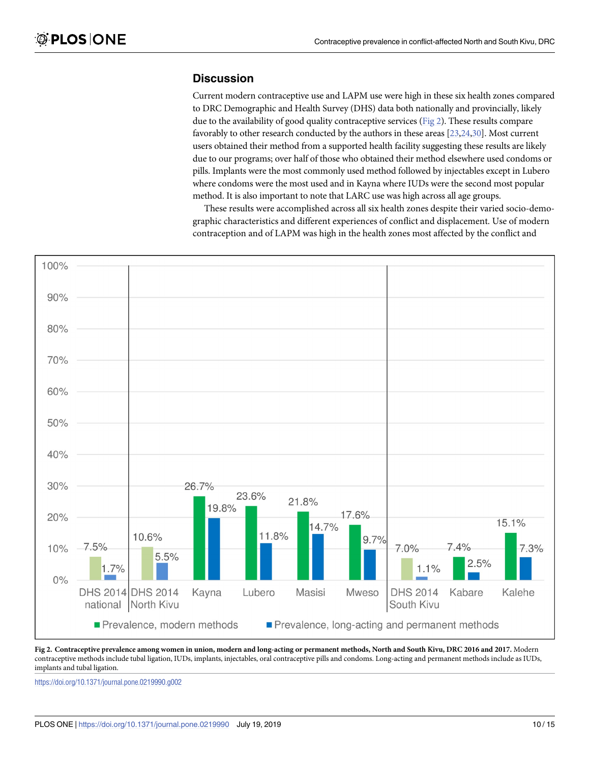# <span id="page-9-0"></span>**Discussion**

Current modern contraceptive use and LAPM use were high in these six health zones compared to DRC Demographic and Health Survey (DHS) data both nationally and provincially, likely due to the availability of good quality contraceptive services (Fig 2). These results compare favorably to other research conducted by the authors in these areas [\[23](#page-13-0),[24,30\]](#page-13-0). Most current users obtained their method from a supported health facility suggesting these results are likely due to our programs; over half of those who obtained their method elsewhere used condoms or pills. Implants were the most commonly used method followed by injectables except in Lubero where condoms were the most used and in Kayna where IUDs were the second most popular method. It is also important to note that LARC use was high across all age groups.

These results were accomplished across all six health zones despite their varied socio-demographic characteristics and different experiences of conflict and displacement. Use of modern contraception and of LAPM was high in the health zones most affected by the conflict and



Fig 2. Contraceptive prevalence among women in union, modern and long-acting or permanent methods, North and South Kivu, DRC 2016 and 2017. Modern contraceptive methods include tubal ligation, IUDs, implants, injectables, oral contraceptive pills and condoms. Long-acting and permanent methods include as IUDs, implants and tubal ligation.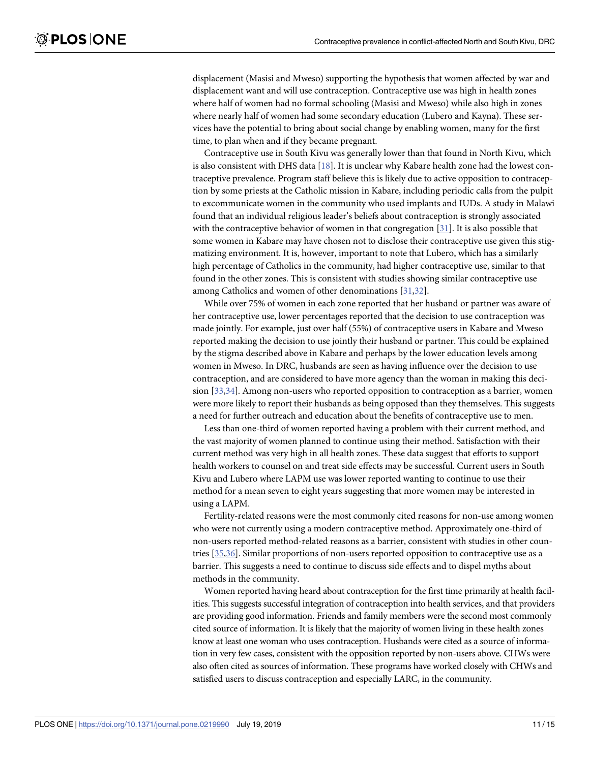<span id="page-10-0"></span>displacement (Masisi and Mweso) supporting the hypothesis that women affected by war and displacement want and will use contraception. Contraceptive use was high in health zones where half of women had no formal schooling (Masisi and Mweso) while also high in zones where nearly half of women had some secondary education (Lubero and Kayna). These services have the potential to bring about social change by enabling women, many for the first time, to plan when and if they became pregnant.

Contraceptive use in South Kivu was generally lower than that found in North Kivu, which is also consistent with DHS data [\[18\]](#page-13-0). It is unclear why Kabare health zone had the lowest contraceptive prevalence. Program staff believe this is likely due to active opposition to contraception by some priests at the Catholic mission in Kabare, including periodic calls from the pulpit to excommunicate women in the community who used implants and IUDs. A study in Malawi found that an individual religious leader's beliefs about contraception is strongly associated with the contraceptive behavior of women in that congregation [\[31\]](#page-13-0). It is also possible that some women in Kabare may have chosen not to disclose their contraceptive use given this stigmatizing environment. It is, however, important to note that Lubero, which has a similarly high percentage of Catholics in the community, had higher contraceptive use, similar to that found in the other zones. This is consistent with studies showing similar contraceptive use among Catholics and women of other denominations [[31,32\]](#page-13-0).

While over 75% of women in each zone reported that her husband or partner was aware of her contraceptive use, lower percentages reported that the decision to use contraception was made jointly. For example, just over half (55%) of contraceptive users in Kabare and Mweso reported making the decision to use jointly their husband or partner. This could be explained by the stigma described above in Kabare and perhaps by the lower education levels among women in Mweso. In DRC, husbands are seen as having influence over the decision to use contraception, and are considered to have more agency than the woman in making this decision [\[33](#page-13-0)[,34\]](#page-14-0). Among non-users who reported opposition to contraception as a barrier, women were more likely to report their husbands as being opposed than they themselves. This suggests a need for further outreach and education about the benefits of contraceptive use to men.

Less than one-third of women reported having a problem with their current method, and the vast majority of women planned to continue using their method. Satisfaction with their current method was very high in all health zones. These data suggest that efforts to support health workers to counsel on and treat side effects may be successful. Current users in South Kivu and Lubero where LAPM use was lower reported wanting to continue to use their method for a mean seven to eight years suggesting that more women may be interested in using a LAPM.

Fertility-related reasons were the most commonly cited reasons for non-use among women who were not currently using a modern contraceptive method. Approximately one-third of non-users reported method-related reasons as a barrier, consistent with studies in other countries [[35](#page-14-0),[36](#page-14-0)]. Similar proportions of non-users reported opposition to contraceptive use as a barrier. This suggests a need to continue to discuss side effects and to dispel myths about methods in the community.

Women reported having heard about contraception for the first time primarily at health facilities. This suggests successful integration of contraception into health services, and that providers are providing good information. Friends and family members were the second most commonly cited source of information. It is likely that the majority of women living in these health zones know at least one woman who uses contraception. Husbands were cited as a source of information in very few cases, consistent with the opposition reported by non-users above. CHWs were also often cited as sources of information. These programs have worked closely with CHWs and satisfied users to discuss contraception and especially LARC, in the community.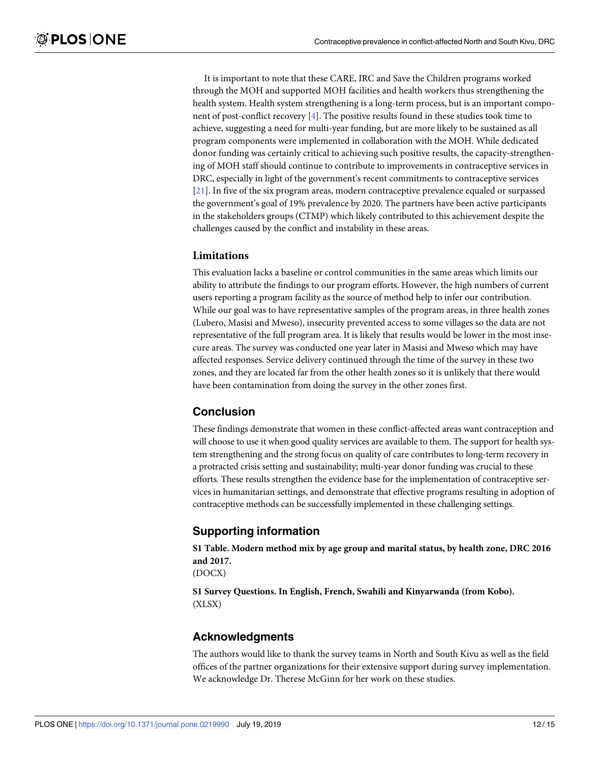<span id="page-11-0"></span>It is important to note that these CARE, IRC and Save the Children programs worked through the MOH and supported MOH facilities and health workers thus strengthening the health system. Health system strengthening is a long-term process, but is an important component of post-conflict recovery [\[4\]](#page-12-0). The positive results found in these studies took time to achieve, suggesting a need for multi-year funding, but are more likely to be sustained as all program components were implemented in collaboration with the MOH. While dedicated donor funding was certainly critical to achieving such positive results, the capacity-strengthening of MOH staff should continue to contribute to improvements in contraceptive services in DRC, especially in light of the government's recent commitments to contraceptive services [\[21\]](#page-13-0). In five of the six program areas, modern contraceptive prevalence equaled or surpassed the government's goal of 19% prevalence by 2020. The partners have been active participants in the stakeholders groups (CTMP) which likely contributed to this achievement despite the challenges caused by the conflict and instability in these areas.

# **Limitations**

This evaluation lacks a baseline or control communities in the same areas which limits our ability to attribute the findings to our program efforts. However, the high numbers of current users reporting a program facility as the source of method help to infer our contribution. While our goal was to have representative samples of the program areas, in three health zones (Lubero, Masisi and Mweso), insecurity prevented access to some villages so the data are not representative of the full program area. It is likely that results would be lower in the most insecure areas. The survey was conducted one year later in Masisi and Mweso which may have affected responses. Service delivery continued through the time of the survey in these two zones, and they are located far from the other health zones so it is unlikely that there would have been contamination from doing the survey in the other zones first.

# **Conclusion**

These findings demonstrate that women in these conflict-affected areas want contraception and will choose to use it when good quality services are available to them. The support for health system strengthening and the strong focus on quality of care contributes to long-term recovery in a protracted crisis setting and sustainability; multi-year donor funding was crucial to these efforts. These results strengthen the evidence base for the implementation of contraceptive services in humanitarian settings, and demonstrate that effective programs resulting in adoption of contraceptive methods can be successfully implemented in these challenging settings.

# **Supporting information**

**S1 [Table.](http://www.plosone.org/article/fetchSingleRepresentation.action?uri=info:doi/10.1371/journal.pone.0219990.s001) Modern method mix by age group and marital status, by health zone, DRC 2016 and 2017.**

(DOCX)

**S1 Survey [Questions.](http://www.plosone.org/article/fetchSingleRepresentation.action?uri=info:doi/10.1371/journal.pone.0219990.s002) In English, French, Swahili and Kinyarwanda (from Kobo).** (XLSX)

## **Acknowledgments**

The authors would like to thank the survey teams in North and South Kivu as well as the field offices of the partner organizations for their extensive support during survey implementation. We acknowledge Dr. Therese McGinn for her work on these studies.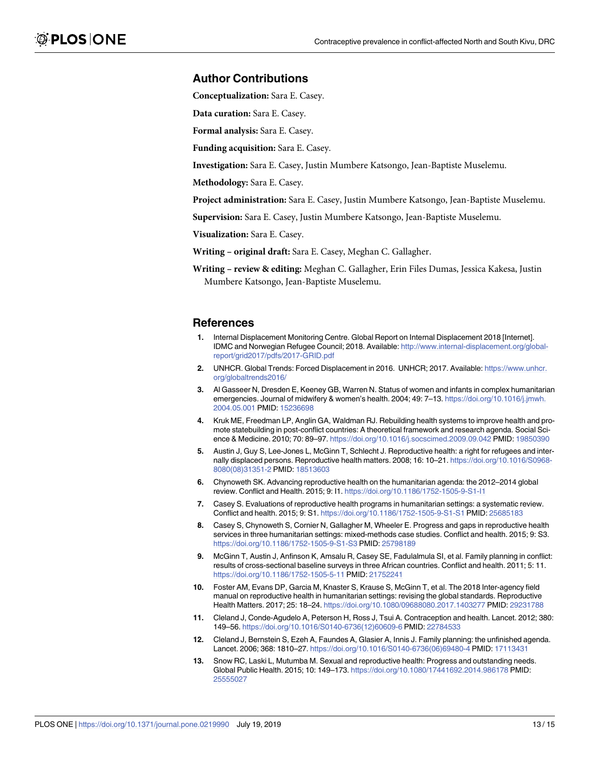#### <span id="page-12-0"></span>**Author Contributions**

**Conceptualization:** Sara E. Casey.

**Data curation:** Sara E. Casey.

**Formal analysis:** Sara E. Casey.

**Funding acquisition:** Sara E. Casey.

**Investigation:** Sara E. Casey, Justin Mumbere Katsongo, Jean-Baptiste Muselemu.

**Methodology:** Sara E. Casey.

**Project administration:** Sara E. Casey, Justin Mumbere Katsongo, Jean-Baptiste Muselemu.

**Supervision:** Sara E. Casey, Justin Mumbere Katsongo, Jean-Baptiste Muselemu.

**Visualization:** Sara E. Casey.

**Writing – original draft:** Sara E. Casey, Meghan C. Gallagher.

**Writing – review & editing:** Meghan C. Gallagher, Erin Files Dumas, Jessica Kakesa, Justin Mumbere Katsongo, Jean-Baptiste Muselemu.

#### **References**

- **[1](#page-1-0).** Internal Displacement Monitoring Centre. Global Report on Internal Displacement 2018 [Internet]. IDMC and Norwegian Refugee Council; 2018. Available: [http://www.internal-displacement.org/global](http://www.internal-displacement.org/global-report/grid2017/pdfs/2017-GRID.pdf)[report/grid2017/pdfs/2017-GRID.pdf](http://www.internal-displacement.org/global-report/grid2017/pdfs/2017-GRID.pdf)
- **[2](#page-1-0).** UNHCR. Global Trends: Forced Displacement in 2016. UNHCR; 2017. Available: [https://www.unhcr.](https://www.unhcr.org/globaltrends2016/) [org/globaltrends2016/](https://www.unhcr.org/globaltrends2016/)
- **[3](#page-1-0).** Al Gasseer N, Dresden E, Keeney GB, Warren N. Status of women and infants in complex humanitarian emergencies. Journal of midwifery & women's health. 2004; 49: 7–13. [https://doi.org/10.1016/j.jmwh.](https://doi.org/10.1016/j.jmwh.2004.05.001) [2004.05.001](https://doi.org/10.1016/j.jmwh.2004.05.001) PMID: [15236698](http://www.ncbi.nlm.nih.gov/pubmed/15236698)
- **[4](#page-1-0).** Kruk ME, Freedman LP, Anglin GA, Waldman RJ. Rebuilding health systems to improve health and promote statebuilding in post-conflict countries: A theoretical framework and research agenda. Social Science & Medicine. 2010; 70: 89–97. <https://doi.org/10.1016/j.socscimed.2009.09.042> PMID: [19850390](http://www.ncbi.nlm.nih.gov/pubmed/19850390)
- **[5](#page-1-0).** Austin J, Guy S, Lee-Jones L, McGinn T, Schlecht J. Reproductive health: a right for refugees and internally displaced persons. Reproductive health matters. 2008; 16: 10–21. [https://doi.org/10.1016/S0968-](https://doi.org/10.1016/S0968-8080(08)31351-2) [8080\(08\)31351-2](https://doi.org/10.1016/S0968-8080(08)31351-2) PMID: [18513603](http://www.ncbi.nlm.nih.gov/pubmed/18513603)
- **[6](#page-1-0).** Chynoweth SK. Advancing reproductive health on the humanitarian agenda: the 2012–2014 global review. Conflict and Health. 2015; 9: I1. <https://doi.org/10.1186/1752-1505-9-S1-I1>
- **7.** Casey S. Evaluations of reproductive health programs in humanitarian settings: a systematic review. Conflict and health. 2015; 9: S1. <https://doi.org/10.1186/1752-1505-9-S1-S1> PMID: [25685183](http://www.ncbi.nlm.nih.gov/pubmed/25685183)
- **[8](#page-1-0).** Casey S, Chynoweth S, Cornier N, Gallagher M, Wheeler E. Progress and gaps in reproductive health services in three humanitarian settings: mixed-methods case studies. Conflict and health. 2015; 9: S3. <https://doi.org/10.1186/1752-1505-9-S1-S3> PMID: [25798189](http://www.ncbi.nlm.nih.gov/pubmed/25798189)
- **[9](#page-1-0).** McGinn T, Austin J, Anfinson K, Amsalu R, Casey SE, Fadulalmula SI, et al. Family planning in conflict: results of cross-sectional baseline surveys in three African countries. Conflict and health. 2011; 5: 11. <https://doi.org/10.1186/1752-1505-5-11> PMID: [21752241](http://www.ncbi.nlm.nih.gov/pubmed/21752241)
- **[10](#page-1-0).** Foster AM, Evans DP, Garcia M, Knaster S, Krause S, McGinn T, et al. The 2018 Inter-agency field manual on reproductive health in humanitarian settings: revising the global standards. Reproductive Health Matters. 2017; 25: 18–24. <https://doi.org/10.1080/09688080.2017.1403277> PMID: [29231788](http://www.ncbi.nlm.nih.gov/pubmed/29231788)
- **[11](#page-1-0).** Cleland J, Conde-Agudelo A, Peterson H, Ross J, Tsui A. Contraception and health. Lancet. 2012; 380: 149–56. [https://doi.org/10.1016/S0140-6736\(12\)60609-6](https://doi.org/10.1016/S0140-6736(12)60609-6) PMID: [22784533](http://www.ncbi.nlm.nih.gov/pubmed/22784533)
- **[12](#page-1-0).** Cleland J, Bernstein S, Ezeh A, Faundes A, Glasier A, Innis J. Family planning: the unfinished agenda. Lancet. 2006; 368: 1810–27. [https://doi.org/10.1016/S0140-6736\(06\)69480-4](https://doi.org/10.1016/S0140-6736(06)69480-4) PMID: [17113431](http://www.ncbi.nlm.nih.gov/pubmed/17113431)
- **[13](#page-1-0).** Snow RC, Laski L, Mutumba M. Sexual and reproductive health: Progress and outstanding needs. Global Public Health. 2015; 10: 149–173. <https://doi.org/10.1080/17441692.2014.986178> PMID: [25555027](http://www.ncbi.nlm.nih.gov/pubmed/25555027)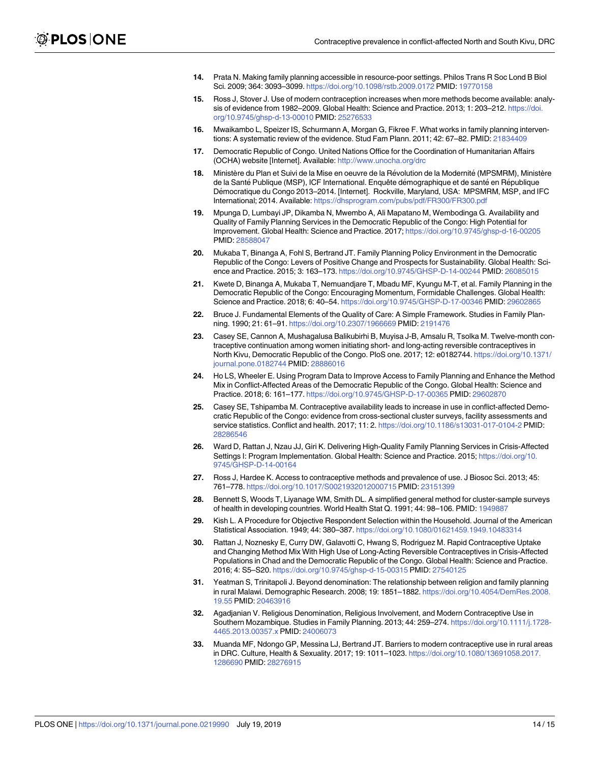- <span id="page-13-0"></span>**[14](#page-1-0).** Prata N. Making family planning accessible in resource-poor settings. Philos Trans R Soc Lond B Biol Sci. 2009; 364: 3093–3099. <https://doi.org/10.1098/rstb.2009.0172> PMID: [19770158](http://www.ncbi.nlm.nih.gov/pubmed/19770158)
- **[15](#page-1-0).** Ross J, Stover J. Use of modern contraception increases when more methods become available: analysis of evidence from 1982–2009. Global Health: Science and Practice. 2013; 1: 203–212. [https://doi.](https://doi.org/10.9745/ghsp-d-13-00010) [org/10.9745/ghsp-d-13-00010](https://doi.org/10.9745/ghsp-d-13-00010) PMID: [25276533](http://www.ncbi.nlm.nih.gov/pubmed/25276533)
- **[16](#page-2-0).** Mwaikambo L, Speizer IS, Schurmann A, Morgan G, Fikree F. What works in family planning interventions: A systematic review of the evidence. Stud Fam Plann. 2011; 42: 67–82. PMID: [21834409](http://www.ncbi.nlm.nih.gov/pubmed/21834409)
- **[17](#page-2-0).** Democratic Republic of Congo. United Nations Office for the Coordination of Humanitarian Affairs (OCHA) website [Internet]. Available: <http://www.unocha.org/drc>
- [18](#page-2-0). Ministère du Plan et Suivi de la Mise en oeuvre de la Révolution de la Modernité (MPSMRM), Ministère de la Santé Publique (MSP), ICF International. Enquête démographique et de santé en République Démocratique du Congo 2013–2014. [Internet]. Rockville, Maryland, USA: MPSMRM, MSP, and IFC International; 2014. Available: <https://dhsprogram.com/pubs/pdf/FR300/FR300.pdf>
- **[19](#page-2-0).** Mpunga D, Lumbayi JP, Dikamba N, Mwembo A, Ali Mapatano M, Wembodinga G. Availability and Quality of Family Planning Services in the Democratic Republic of the Congo: High Potential for Improvement. Global Health: Science and Practice. 2017; <https://doi.org/10.9745/ghsp-d-16-00205> PMID: [28588047](http://www.ncbi.nlm.nih.gov/pubmed/28588047)
- **[20](#page-2-0).** Mukaba T, Binanga A, Fohl S, Bertrand JT. Family Planning Policy Environment in the Democratic Republic of the Congo: Levers of Positive Change and Prospects for Sustainability. Global Health: Science and Practice. 2015; 3: 163–173. <https://doi.org/10.9745/GHSP-D-14-00244> PMID: [26085015](http://www.ncbi.nlm.nih.gov/pubmed/26085015)
- **[21](#page-2-0).** Kwete D, Binanga A, Mukaba T, Nemuandjare T, Mbadu MF, Kyungu M-T, et al. Family Planning in the Democratic Republic of the Congo: Encouraging Momentum, Formidable Challenges. Global Health: Science and Practice. 2018; 6: 40–54. <https://doi.org/10.9745/GHSP-D-17-00346> PMID: [29602865](http://www.ncbi.nlm.nih.gov/pubmed/29602865)
- **[22](#page-2-0).** Bruce J. Fundamental Elements of the Quality of Care: A Simple Framework. Studies in Family Planning. 1990; 21: 61–91. <https://doi.org/10.2307/1966669> PMID: [2191476](http://www.ncbi.nlm.nih.gov/pubmed/2191476)
- **[23](#page-2-0).** Casey SE, Cannon A, Mushagalusa Balikubirhi B, Muyisa J-B, Amsalu R, Tsolka M. Twelve-month contraceptive continuation among women initiating short- and long-acting reversible contraceptives in North Kivu, Democratic Republic of the Congo. PloS one. 2017; 12: e0182744. [https://doi.org/10.1371/](https://doi.org/10.1371/journal.pone.0182744) [journal.pone.0182744](https://doi.org/10.1371/journal.pone.0182744) PMID: [28886016](http://www.ncbi.nlm.nih.gov/pubmed/28886016)
- **[24](#page-9-0).** Ho LS, Wheeler E. Using Program Data to Improve Access to Family Planning and Enhance the Method Mix in Conflict-Affected Areas of the Democratic Republic of the Congo. Global Health: Science and Practice. 2018; 6: 161–177. <https://doi.org/10.9745/GHSP-D-17-00365> PMID: [29602870](http://www.ncbi.nlm.nih.gov/pubmed/29602870)
- **25.** Casey SE, Tshipamba M. Contraceptive availability leads to increase in use in conflict-affected Democratic Republic of the Congo: evidence from cross-sectional cluster surveys, facility assessments and service statistics. Conflict and health. 2017; 11: 2. <https://doi.org/10.1186/s13031-017-0104-2> PMID: [28286546](http://www.ncbi.nlm.nih.gov/pubmed/28286546)
- **[26](#page-2-0).** Ward D, Rattan J, Nzau JJ, Giri K. Delivering High-Quality Family Planning Services in Crisis-Affected Settings I: Program Implementation. Global Health: Science and Practice. 2015; [https://doi.org/10.](https://doi.org/10.9745/GHSP-D-14-00164) [9745/GHSP-D-14-00164](https://doi.org/10.9745/GHSP-D-14-00164)
- **[27](#page-3-0).** Ross J, Hardee K. Access to contraceptive methods and prevalence of use. J Biosoc Sci. 2013; 45: 761–778. <https://doi.org/10.1017/S0021932012000715> PMID: [23151399](http://www.ncbi.nlm.nih.gov/pubmed/23151399)
- **[28](#page-3-0).** Bennett S, Woods T, Liyanage WM, Smith DL. A simplified general method for cluster-sample surveys of health in developing countries. World Health Stat Q. 1991; 44: 98–106. PMID: [1949887](http://www.ncbi.nlm.nih.gov/pubmed/1949887)
- **[29](#page-3-0).** Kish L. A Procedure for Objective Respondent Selection within the Household. Journal of the American Statistical Association. 1949; 44: 380–387. <https://doi.org/10.1080/01621459.1949.10483314>
- **[30](#page-9-0).** Rattan J, Noznesky E, Curry DW, Galavotti C, Hwang S, Rodriguez M. Rapid Contraceptive Uptake and Changing Method Mix With High Use of Long-Acting Reversible Contraceptives in Crisis-Affected Populations in Chad and the Democratic Republic of the Congo. Global Health: Science and Practice. 2016; 4: S5–S20. <https://doi.org/10.9745/ghsp-d-15-00315> PMID: [27540125](http://www.ncbi.nlm.nih.gov/pubmed/27540125)
- **[31](#page-10-0).** Yeatman S, Trinitapoli J. Beyond denomination: The relationship between religion and family planning in rural Malawi. Demographic Research. 2008; 19: 1851–1882. [https://doi.org/10.4054/DemRes.2008.](https://doi.org/10.4054/DemRes.2008.19.55) [19.55](https://doi.org/10.4054/DemRes.2008.19.55) PMID: [20463916](http://www.ncbi.nlm.nih.gov/pubmed/20463916)
- **[32](#page-10-0).** Agadjanian V. Religious Denomination, Religious Involvement, and Modern Contraceptive Use in Southern Mozambique. Studies in Family Planning. 2013; 44: 259–274. [https://doi.org/10.1111/j.1728-](https://doi.org/10.1111/j.1728-4465.2013.00357.x) [4465.2013.00357.x](https://doi.org/10.1111/j.1728-4465.2013.00357.x) PMID: [24006073](http://www.ncbi.nlm.nih.gov/pubmed/24006073)
- **[33](#page-10-0).** Muanda MF, Ndongo GP, Messina LJ, Bertrand JT. Barriers to modern contraceptive use in rural areas in DRC. Culture, Health & Sexuality. 2017; 19: 1011–1023. [https://doi.org/10.1080/13691058.2017.](https://doi.org/10.1080/13691058.2017.1286690) [1286690](https://doi.org/10.1080/13691058.2017.1286690) PMID: [28276915](http://www.ncbi.nlm.nih.gov/pubmed/28276915)